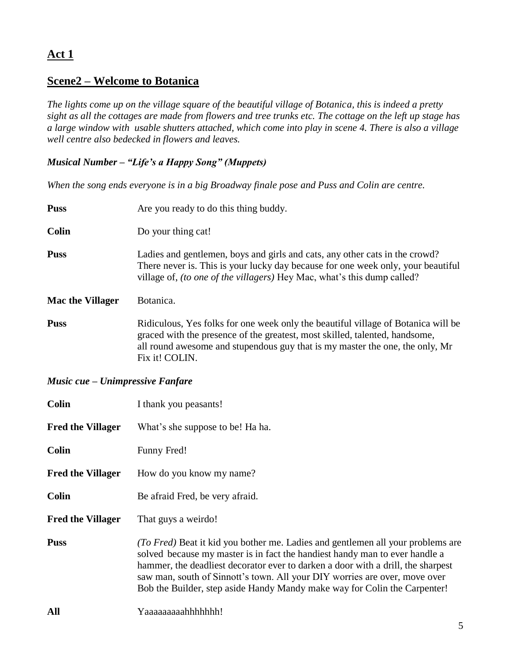# **Act 1**

## **Scene2 – Welcome to Botanica**

*The lights come up on the village square of the beautiful village of Botanica, this is indeed a pretty sight as all the cottages are made from flowers and tree trunks etc. The cottage on the left up stage has a large window with usable shutters attached, which come into play in scene 4. There is also a village well centre also bedecked in flowers and leaves.* 

### *Musical Number – "Life's a Happy Song" (Muppets)*

*When the song ends everyone is in a big Broadway finale pose and Puss and Colin are centre.*

| <b>Puss</b>             | Are you ready to do this thing buddy.                                                                                                                                                                                                                              |
|-------------------------|--------------------------------------------------------------------------------------------------------------------------------------------------------------------------------------------------------------------------------------------------------------------|
| <b>Colin</b>            | Do your thing cat!                                                                                                                                                                                                                                                 |
| <b>Puss</b>             | Ladies and gentlemen, boys and girls and cats, any other cats in the crowd?<br>There never is. This is your lucky day because for one week only, your beautiful<br>village of, <i>(to one of the villagers)</i> Hey Mac, what's this dump called?                  |
| <b>Mac the Villager</b> | Botanica.                                                                                                                                                                                                                                                          |
| <b>Puss</b>             | Ridiculous, Yes folks for one week only the beautiful village of Botanica will be<br>graced with the presence of the greatest, most skilled, talented, handsome,<br>all round awesome and stupendous guy that is my master the one, the only, Mr<br>Fix it! COLIN. |

#### *Music cue – Unimpressive Fanfare*

| <b>Colin</b>             | I thank you peasants!                                                                                                                                                                                                                                                                                                                                                                                         |
|--------------------------|---------------------------------------------------------------------------------------------------------------------------------------------------------------------------------------------------------------------------------------------------------------------------------------------------------------------------------------------------------------------------------------------------------------|
| <b>Fred the Villager</b> | What's she suppose to be! Ha ha.                                                                                                                                                                                                                                                                                                                                                                              |
| <b>Colin</b>             | Funny Fred!                                                                                                                                                                                                                                                                                                                                                                                                   |
| <b>Fred the Villager</b> | How do you know my name?                                                                                                                                                                                                                                                                                                                                                                                      |
| <b>Colin</b>             | Be afraid Fred, be very afraid.                                                                                                                                                                                                                                                                                                                                                                               |
| <b>Fred the Villager</b> | That guys a weirdo!                                                                                                                                                                                                                                                                                                                                                                                           |
| <b>Puss</b>              | (To Fred) Beat it kid you bother me. Ladies and gentlemen all your problems are<br>solved because my master is in fact the handiest handy man to ever handle a<br>hammer, the deadliest decorator ever to darken a door with a drill, the sharpest<br>saw man, south of Sinnott's town. All your DIY worries are over, move over<br>Bob the Builder, step aside Handy Mandy make way for Colin the Carpenter! |
| All                      | Yaaaaaaaaahhhhhhh!                                                                                                                                                                                                                                                                                                                                                                                            |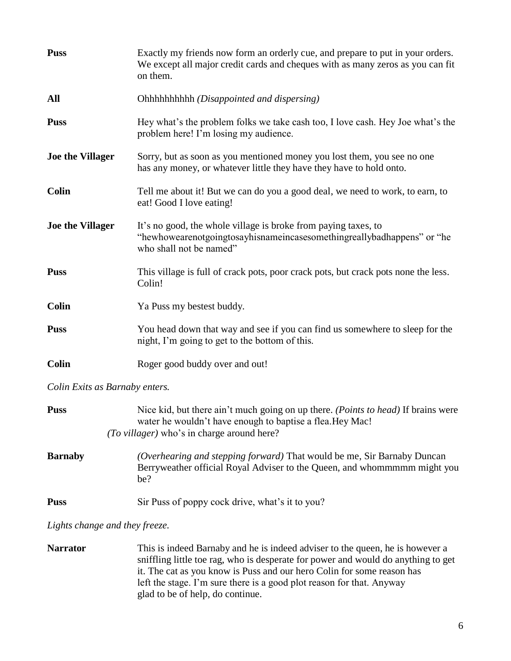| <b>Puss</b>             | Exactly my friends now form an orderly cue, and prepare to put in your orders.<br>We except all major credit cards and cheques with as many zeros as you can fit<br>on them. |
|-------------------------|------------------------------------------------------------------------------------------------------------------------------------------------------------------------------|
| All                     |                                                                                                                                                                              |
| <b>Puss</b>             | Hey what's the problem folks we take cash too, I love cash. Hey Joe what's the<br>problem here! I'm losing my audience.                                                      |
| <b>Joe the Villager</b> | Sorry, but as soon as you mentioned money you lost them, you see no one<br>has any money, or whatever little they have they have to hold onto.                               |
| <b>Colin</b>            | Tell me about it! But we can do you a good deal, we need to work, to earn, to<br>eat! Good I love eating!                                                                    |
| <b>Joe the Villager</b> | It's no good, the whole village is broke from paying taxes, to<br>"hewhowearenotgoingtosayhisnameincasesomethingreallybadhappens" or "he<br>who shall not be named"          |
| <b>Puss</b>             | This village is full of crack pots, poor crack pots, but crack pots none the less.<br>Colin!                                                                                 |
| <b>Colin</b>            | Ya Puss my bestest buddy.                                                                                                                                                    |
| <b>Puss</b>             | You head down that way and see if you can find us somewhere to sleep for the<br>night, I'm going to get to the bottom of this.                                               |
| <b>Colin</b>            | Roger good buddy over and out!                                                                                                                                               |

*Colin Exits as Barnaby enters.*

| <b>Puss</b>    | Nice kid, but there ain't much going on up there. ( <i>Points to head</i> ) If brains were<br>water he wouldn't have enough to baptise a flea. Hey Mac!<br>(To villager) who's in charge around here? |
|----------------|-------------------------------------------------------------------------------------------------------------------------------------------------------------------------------------------------------|
| <b>Barnaby</b> | (Overhearing and stepping forward) That would be me, Sir Barnaby Duncan<br>Berryweather official Royal Adviser to the Queen, and whommmmm might you<br>he?                                            |
| <b>Puss</b>    | Sir Puss of poppy cock drive, what's it to you?                                                                                                                                                       |

*Lights change and they freeze.*

| <b>Narrator</b> | This is indeed Barnaby and he is indeed adviser to the queen, he is however a     |
|-----------------|-----------------------------------------------------------------------------------|
|                 | sniffling little toe rag, who is desperate for power and would do anything to get |
|                 | it. The cat as you know is Puss and our hero Colin for some reason has            |
|                 | left the stage. I'm sure there is a good plot reason for that. Anyway             |
|                 | glad to be of help, do continue.                                                  |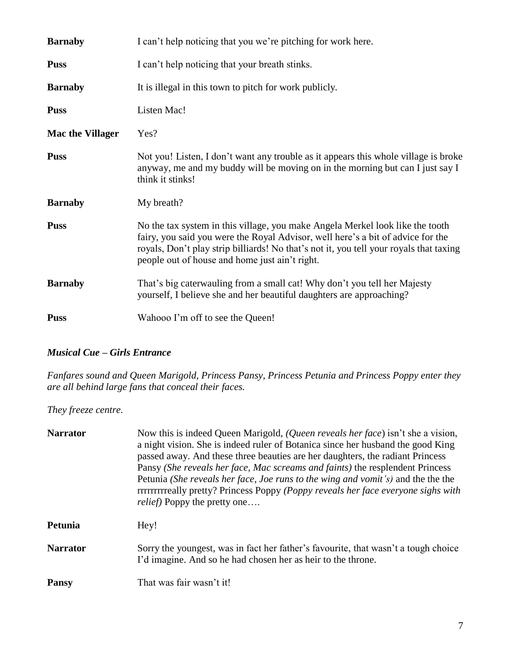| <b>Barnaby</b>          | I can't help noticing that you we're pitching for work here.                                                                                                                                                                                                                                                 |
|-------------------------|--------------------------------------------------------------------------------------------------------------------------------------------------------------------------------------------------------------------------------------------------------------------------------------------------------------|
| <b>Puss</b>             | I can't help noticing that your breath stinks.                                                                                                                                                                                                                                                               |
| <b>Barnaby</b>          | It is illegal in this town to pitch for work publicly.                                                                                                                                                                                                                                                       |
| <b>Puss</b>             | Listen Mac!                                                                                                                                                                                                                                                                                                  |
| <b>Mac the Villager</b> | Yes?                                                                                                                                                                                                                                                                                                         |
| <b>Puss</b>             | Not you! Listen, I don't want any trouble as it appears this whole village is broke<br>anyway, me and my buddy will be moving on in the morning but can I just say I<br>think it stinks!                                                                                                                     |
| <b>Barnaby</b>          | My breath?                                                                                                                                                                                                                                                                                                   |
| <b>Puss</b>             | No the tax system in this village, you make Angela Merkel look like the tooth<br>fairy, you said you were the Royal Advisor, well here's a bit of advice for the<br>royals, Don't play strip billiards! No that's not it, you tell your royals that taxing<br>people out of house and home just ain't right. |
| <b>Barnaby</b>          | That's big caterwauling from a small cat! Why don't you tell her Majesty<br>yourself, I believe she and her beautiful daughters are approaching?                                                                                                                                                             |
| <b>Puss</b>             | Wahooo I'm off to see the Queen!                                                                                                                                                                                                                                                                             |

### *Musical Cue – Girls Entrance*

*Fanfares sound and Queen Marigold, Princess Pansy, Princess Petunia and Princess Poppy enter they are all behind large fans that conceal their faces.*

*They freeze centre.*

| <b>Narrator</b> | Now this is indeed Queen Marigold, (Queen reveals her face) isn't she a vision,<br>a night vision. She is indeed ruler of Botanica since her husband the good King<br>passed away. And these three beauties are her daughters, the radiant Princess<br>Pansy (She reveals her face, Mac screams and faints) the resplendent Princess<br>Petunia (She reveals her face, Joe runs to the wing and vomit's) and the the the<br>rrrrrrrrrrrrrreally pretty? Princess Poppy (Poppy reveals her face everyone sighs with<br><i>relief</i> ) Poppy the pretty one |
|-----------------|------------------------------------------------------------------------------------------------------------------------------------------------------------------------------------------------------------------------------------------------------------------------------------------------------------------------------------------------------------------------------------------------------------------------------------------------------------------------------------------------------------------------------------------------------------|
| Petunia         | Hey!                                                                                                                                                                                                                                                                                                                                                                                                                                                                                                                                                       |
| <b>Narrator</b> | Sorry the youngest, was in fact her father's favourite, that wasn't a tough choice<br>I'd imagine. And so he had chosen her as heir to the throne.                                                                                                                                                                                                                                                                                                                                                                                                         |
| <b>Pansy</b>    | That was fair wasn't it!                                                                                                                                                                                                                                                                                                                                                                                                                                                                                                                                   |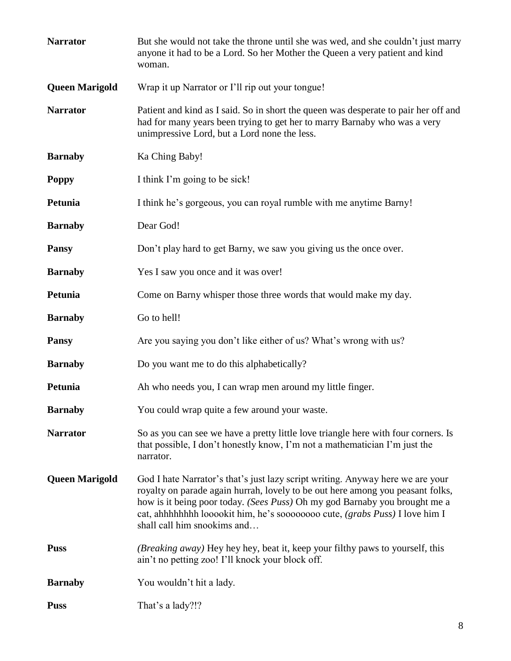| <b>Narrator</b>       | But she would not take the throne until she was wed, and she couldn't just marry<br>anyone it had to be a Lord. So her Mother the Queen a very patient and kind<br>woman.                                                                                                                                                                                    |
|-----------------------|--------------------------------------------------------------------------------------------------------------------------------------------------------------------------------------------------------------------------------------------------------------------------------------------------------------------------------------------------------------|
| <b>Queen Marigold</b> | Wrap it up Narrator or I'll rip out your tongue!                                                                                                                                                                                                                                                                                                             |
| <b>Narrator</b>       | Patient and kind as I said. So in short the queen was desperate to pair her off and<br>had for many years been trying to get her to marry Barnaby who was a very<br>unimpressive Lord, but a Lord none the less.                                                                                                                                             |
| <b>Barnaby</b>        | Ka Ching Baby!                                                                                                                                                                                                                                                                                                                                               |
| <b>Poppy</b>          | I think I'm going to be sick!                                                                                                                                                                                                                                                                                                                                |
| Petunia               | I think he's gorgeous, you can royal rumble with me anytime Barny!                                                                                                                                                                                                                                                                                           |
| <b>Barnaby</b>        | Dear God!                                                                                                                                                                                                                                                                                                                                                    |
| <b>Pansy</b>          | Don't play hard to get Barny, we saw you giving us the once over.                                                                                                                                                                                                                                                                                            |
| <b>Barnaby</b>        | Yes I saw you once and it was over!                                                                                                                                                                                                                                                                                                                          |
| Petunia               | Come on Barny whisper those three words that would make my day.                                                                                                                                                                                                                                                                                              |
| <b>Barnaby</b>        | Go to hell!                                                                                                                                                                                                                                                                                                                                                  |
| <b>Pansy</b>          | Are you saying you don't like either of us? What's wrong with us?                                                                                                                                                                                                                                                                                            |
| <b>Barnaby</b>        | Do you want me to do this alphabetically?                                                                                                                                                                                                                                                                                                                    |
| Petunia               | Ah who needs you, I can wrap men around my little finger.                                                                                                                                                                                                                                                                                                    |
| <b>Barnaby</b>        | You could wrap quite a few around your waste.                                                                                                                                                                                                                                                                                                                |
| <b>Narrator</b>       | So as you can see we have a pretty little love triangle here with four corners. Is<br>that possible, I don't honestly know, I'm not a mathematician I'm just the<br>narrator.                                                                                                                                                                                |
| <b>Queen Marigold</b> | God I hate Narrator's that's just lazy script writing. Anyway here we are your<br>royalty on parade again hurrah, lovely to be out here among you peasant folks,<br>how is it being poor today. (Sees Puss) Oh my god Barnaby you brought me a<br>cat, ahhhhhhhh looookit him, he's soooooooo cute, (grabs Puss) I love him I<br>shall call him snookims and |
| <b>Puss</b>           | ( <i>Breaking away</i> ) Hey hey hey, beat it, keep your filthy paws to yourself, this<br>ain't no petting zoo! I'll knock your block off.                                                                                                                                                                                                                   |
| <b>Barnaby</b>        | You wouldn't hit a lady.                                                                                                                                                                                                                                                                                                                                     |
| <b>Puss</b>           | That's a lady?!?                                                                                                                                                                                                                                                                                                                                             |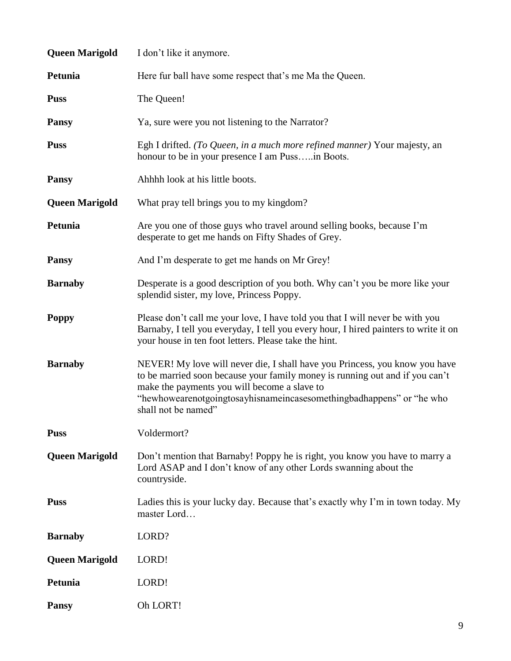| <b>Queen Marigold</b> | I don't like it anymore.                                                                                                                                                                                                                                                                                   |
|-----------------------|------------------------------------------------------------------------------------------------------------------------------------------------------------------------------------------------------------------------------------------------------------------------------------------------------------|
| Petunia               | Here fur ball have some respect that's me Ma the Queen.                                                                                                                                                                                                                                                    |
| <b>Puss</b>           | The Queen!                                                                                                                                                                                                                                                                                                 |
| <b>Pansy</b>          | Ya, sure were you not listening to the Narrator?                                                                                                                                                                                                                                                           |
| <b>Puss</b>           | Egh I drifted. (To Queen, in a much more refined manner) Your majesty, an<br>honour to be in your presence I am Pussin Boots.                                                                                                                                                                              |
| <b>Pansy</b>          | Ahhhh look at his little boots.                                                                                                                                                                                                                                                                            |
| <b>Queen Marigold</b> | What pray tell brings you to my kingdom?                                                                                                                                                                                                                                                                   |
| Petunia               | Are you one of those guys who travel around selling books, because I'm<br>desperate to get me hands on Fifty Shades of Grey.                                                                                                                                                                               |
| <b>Pansy</b>          | And I'm desperate to get me hands on Mr Grey!                                                                                                                                                                                                                                                              |
| <b>Barnaby</b>        | Desperate is a good description of you both. Why can't you be more like your<br>splendid sister, my love, Princess Poppy.                                                                                                                                                                                  |
| <b>Poppy</b>          | Please don't call me your love, I have told you that I will never be with you<br>Barnaby, I tell you everyday, I tell you every hour, I hired painters to write it on<br>your house in ten foot letters. Please take the hint.                                                                             |
| <b>Barnaby</b>        | NEVER! My love will never die, I shall have you Princess, you know you have<br>to be married soon because your family money is running out and if you can't<br>make the payments you will become a slave to<br>"hewhowearenotgoingtosayhisnameincasesomethingbadhappens" or "he who<br>shall not be named" |
| <b>Puss</b>           | Voldermort?                                                                                                                                                                                                                                                                                                |
| <b>Queen Marigold</b> | Don't mention that Barnaby! Poppy he is right, you know you have to marry a<br>Lord ASAP and I don't know of any other Lords swanning about the<br>countryside.                                                                                                                                            |
| <b>Puss</b>           | Ladies this is your lucky day. Because that's exactly why I'm in town today. My<br>master Lord                                                                                                                                                                                                             |
| <b>Barnaby</b>        | LORD?                                                                                                                                                                                                                                                                                                      |
| <b>Queen Marigold</b> | LORD!                                                                                                                                                                                                                                                                                                      |
| Petunia               | LORD!                                                                                                                                                                                                                                                                                                      |
| <b>Pansy</b>          | Oh LORT!                                                                                                                                                                                                                                                                                                   |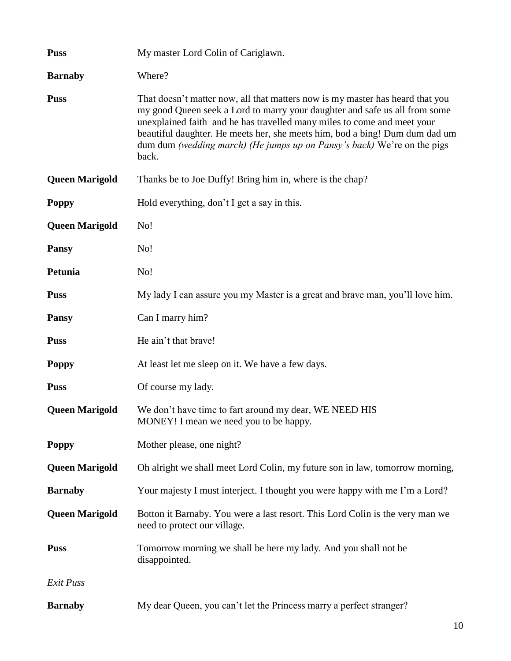| <b>Puss</b>           | My master Lord Colin of Cariglawn.                                                                                                                                                                                                                                                                                                                                                                        |
|-----------------------|-----------------------------------------------------------------------------------------------------------------------------------------------------------------------------------------------------------------------------------------------------------------------------------------------------------------------------------------------------------------------------------------------------------|
| <b>Barnaby</b>        | Where?                                                                                                                                                                                                                                                                                                                                                                                                    |
| <b>Puss</b>           | That doesn't matter now, all that matters now is my master has heard that you<br>my good Queen seek a Lord to marry your daughter and safe us all from some<br>unexplained faith and he has travelled many miles to come and meet your<br>beautiful daughter. He meets her, she meets him, bod a bing! Dum dum dad um<br>dum dum (wedding march) (He jumps up on Pansy's back) We're on the pigs<br>back. |
| <b>Queen Marigold</b> | Thanks be to Joe Duffy! Bring him in, where is the chap?                                                                                                                                                                                                                                                                                                                                                  |
| <b>Poppy</b>          | Hold everything, don't I get a say in this.                                                                                                                                                                                                                                                                                                                                                               |
| <b>Queen Marigold</b> | No!                                                                                                                                                                                                                                                                                                                                                                                                       |
| <b>Pansy</b>          | No!                                                                                                                                                                                                                                                                                                                                                                                                       |
| Petunia               | No!                                                                                                                                                                                                                                                                                                                                                                                                       |
| <b>Puss</b>           | My lady I can assure you my Master is a great and brave man, you'll love him.                                                                                                                                                                                                                                                                                                                             |
| <b>Pansy</b>          | Can I marry him?                                                                                                                                                                                                                                                                                                                                                                                          |
| <b>Puss</b>           | He ain't that brave!                                                                                                                                                                                                                                                                                                                                                                                      |
| <b>Poppy</b>          | At least let me sleep on it. We have a few days.                                                                                                                                                                                                                                                                                                                                                          |
| <b>Puss</b>           | Of course my lady.                                                                                                                                                                                                                                                                                                                                                                                        |
| <b>Queen Marigold</b> | We don't have time to fart around my dear, WE NEED HIS<br>MONEY! I mean we need you to be happy.                                                                                                                                                                                                                                                                                                          |
| <b>Poppy</b>          | Mother please, one night?                                                                                                                                                                                                                                                                                                                                                                                 |
| <b>Queen Marigold</b> | Oh alright we shall meet Lord Colin, my future son in law, tomorrow morning,                                                                                                                                                                                                                                                                                                                              |
| <b>Barnaby</b>        | Your majesty I must interject. I thought you were happy with me I'm a Lord?                                                                                                                                                                                                                                                                                                                               |
| <b>Queen Marigold</b> | Botton it Barnaby. You were a last resort. This Lord Colin is the very man we<br>need to protect our village.                                                                                                                                                                                                                                                                                             |
| <b>Puss</b>           | Tomorrow morning we shall be here my lady. And you shall not be<br>disappointed.                                                                                                                                                                                                                                                                                                                          |
| Exit Puss             |                                                                                                                                                                                                                                                                                                                                                                                                           |
| <b>Barnaby</b>        | My dear Queen, you can't let the Princess marry a perfect stranger?                                                                                                                                                                                                                                                                                                                                       |